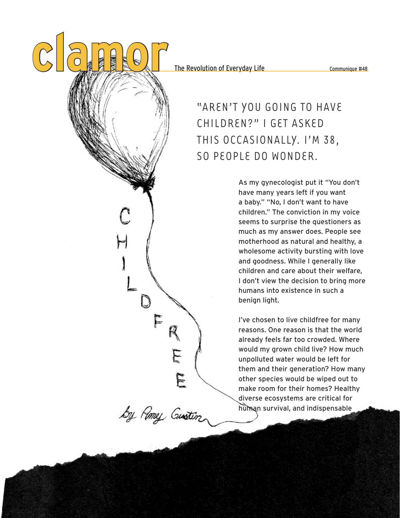The Revolution of Everyday Life Communique #48

## "AREN'T YOU GOING TO HAVE CHILDREN?" I GET ASKED THIS OCCASIONALLY. I'M 38, SO PEOPLE DO WONDER.

As my gynecologist put it "You don't have many years left if you want a baby." "No, I don't want to have children." The conviction in my voice seems to surprise the questioners as much as my answer does. People see motherhood as natural and healthy, a wholesome activity bursting with love and goodness. While I generally like children and care about their welfare, I don't view the decision to bring more humans into existence in such a benign light.

I've chosen to live childfree for many reasons. One reason is that the world already feels far too crowded. Where would my grown child live? How much unpolluted water would be left for them and their generation? How many other species would be wiped out to make room for their homes? Healthy diverse ecosystems are critical for human survival, and indispensable

by Romey Gustin

FRE

E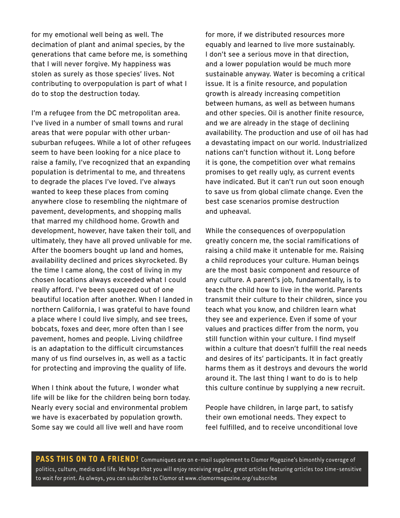for my emotional well being as well. The decimation of plant and animal species, by the generations that came before me, is something that I will never forgive. My happiness was stolen as surely as those species' lives. Not contributing to overpopulation is part of what I do to stop the destruction today.

I'm a refugee from the DC metropolitan area. I've lived in a number of small towns and rural areas that were popular with other urbansuburban refugees. While a lot of other refugees seem to have been looking for a nice place to raise a family, I've recognized that an expanding population is detrimental to me, and threatens to degrade the places I've loved. I've always wanted to keep these places from coming anywhere close to resembling the nightmare of pavement, developments, and shopping malls that marred my childhood home. Growth and development, however, have taken their toll, and ultimately, they have all proved unlivable for me. After the boomers bought up land and homes, availability declined and prices skyrocketed. By the time I came along, the cost of living in my chosen locations always exceeded what I could really afford. I've been squeezed out of one beautiful location after another. When I landed in northern California, I was grateful to have found a place where I could live simply, and see trees, bobcats, foxes and deer, more often than I see pavement, homes and people. Living childfree is an adaptation to the difficult circumstances many of us find ourselves in, as well as a tactic for protecting and improving the quality of life.

When I think about the future, I wonder what life will be like for the children being born today. Nearly every social and environmental problem we have is exacerbated by population growth. Some say we could all live well and have room

for more, if we distributed resources more equably and learned to live more sustainably. I don't see a serious move in that direction, and a lower population would be much more sustainable anyway. Water is becoming a critical issue. It is a finite resource, and population growth is already increasing competition between humans, as well as between humans and other species. Oil is another finite resource, and we are already in the stage of declining availability. The production and use of oil has had a devastating impact on our world. Industrialized nations can't function without it. Long before it is gone, the competition over what remains promises to get really ugly, as current events have indicated. But it can't run out soon enough to save us from global climate change. Even the best case scenarios promise destruction and upheaval.

While the consequences of overpopulation greatly concern me, the social ramifications of raising a child make it untenable for me. Raising a child reproduces your culture. Human beings are the most basic component and resource of any culture. A parent's job, fundamentally, is to teach the child how to live in the world. Parents transmit their culture to their children, since you teach what you know, and children learn what they see and experience. Even if some of your values and practices differ from the norm, you still function within your culture. I find myself within a culture that doesn't fulfill the real needs and desires of its' participants. It in fact greatly harms them as it destroys and devours the world around it. The last thing I want to do is to help this culture continue by supplying a new recruit.

People have children, in large part, to satisfy their own emotional needs. They expect to feel fulfilled, and to receive unconditional love

PASS THIS ON TO A FRIEND! Communiques are an e-mail supplement to Clamor Magazine's bimonthly coverage of politics, culture, media and life. We hope that you will enjoy receiving regular, great articles featuring articles too time-sensitive to wait for print. As always, you can subscribe to Clamor at www.clamormagazine.org/subscribe